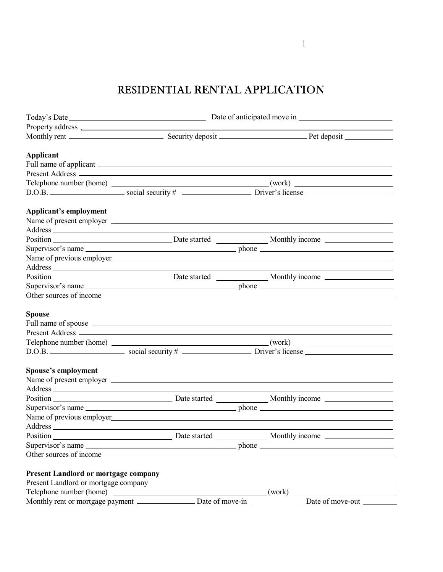## RESIDENTIAL RENTAL APPLICATION

|                                             | Property address 2000 and 2000 and 2000 and 2000 and 2000 and 2000 and 2000 and 2000 and 2000 and 2000 and 200 |                                                                                           |  |
|---------------------------------------------|----------------------------------------------------------------------------------------------------------------|-------------------------------------------------------------------------------------------|--|
|                                             |                                                                                                                |                                                                                           |  |
| <b>Applicant</b>                            |                                                                                                                |                                                                                           |  |
|                                             |                                                                                                                |                                                                                           |  |
|                                             |                                                                                                                |                                                                                           |  |
|                                             |                                                                                                                |                                                                                           |  |
|                                             |                                                                                                                |                                                                                           |  |
| Applicant's employment                      |                                                                                                                |                                                                                           |  |
|                                             |                                                                                                                |                                                                                           |  |
|                                             |                                                                                                                | Supervisor's name                                                                         |  |
|                                             |                                                                                                                |                                                                                           |  |
|                                             |                                                                                                                | the control of the control of the control of the control of the control of the control of |  |
|                                             |                                                                                                                |                                                                                           |  |
|                                             |                                                                                                                | Supervisor's name                                                                         |  |
|                                             |                                                                                                                |                                                                                           |  |
| <b>Spouse</b>                               |                                                                                                                | Full name of spouse <u>example and the set of spouse</u> and the set of spouse example.   |  |
|                                             |                                                                                                                |                                                                                           |  |
|                                             |                                                                                                                |                                                                                           |  |
|                                             |                                                                                                                |                                                                                           |  |
| <b>Spouse's employment</b>                  |                                                                                                                |                                                                                           |  |
|                                             |                                                                                                                |                                                                                           |  |
|                                             |                                                                                                                |                                                                                           |  |
|                                             |                                                                                                                |                                                                                           |  |
|                                             |                                                                                                                | Supervisor's name                                                                         |  |
|                                             |                                                                                                                |                                                                                           |  |
|                                             |                                                                                                                |                                                                                           |  |
|                                             |                                                                                                                |                                                                                           |  |
|                                             |                                                                                                                | Supervisor's name                                                                         |  |
|                                             | Other sources of income                                                                                        |                                                                                           |  |
| <b>Present Landlord or mortgage company</b> |                                                                                                                |                                                                                           |  |
|                                             |                                                                                                                |                                                                                           |  |
|                                             |                                                                                                                | Telephone number (home)                                                                   |  |
|                                             |                                                                                                                | Date of move-out                                                                          |  |

 $\overline{\mathbb{I}}$